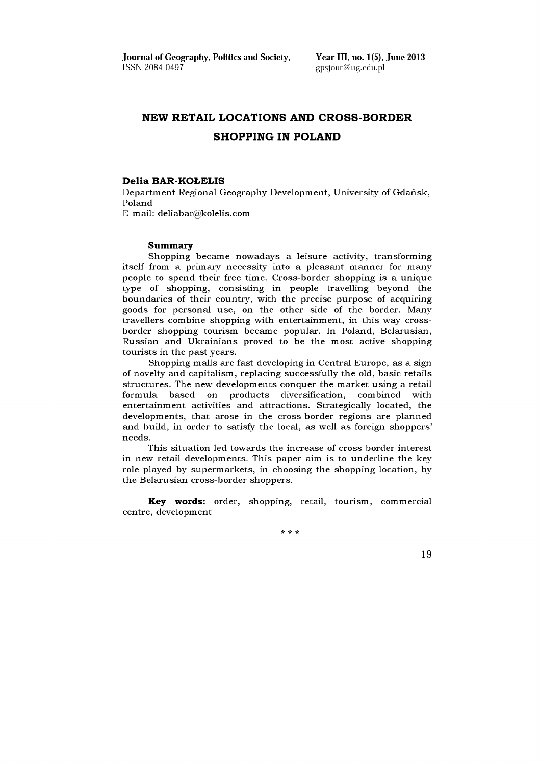**Journal of Geography, Politics and Society, Year III, no. 1(5), June 2013**<br>ISSN 2084-0497 **Propriet All Alternative System** ensigns and propriet and propriet and propriet and propriet and propriet and the USSN 2084-0497

[gpsjour@ug.edu.pl](mailto:gpsjour@ug.edu.pl)

# **NEW RETAIL LOCATIONS AND CROSS-BORDER SHOPPING IN POLAND**

#### **Delia BAR-KOŁELIS**

Department Regional Geography Development, University of Gdańsk, Poland

E -m ail: [deliabar@ kolelis.com](mailto:deliabar@kolelis.com)

#### **Summary**

Shopping became nowadays a leisure activity, transforming itself from a primary necessity into a pleasant manner for many people to spend their free time. Cross-border shopping is a unique type of shopping, consisting in people travelling beyond the boundaries of their country, with the precise purpose of acquiring goods for personal use, on the other side of the border. Many travellers combine shopping with entertainment, in this way crossborder shopping tourism became popular. In Poland, Belarusian, Russian and Ukrainians proved to be the most active shopping tourists in the past years.

Shopping malls are fast developing in Central Europe, as a sign of novelty and capitalism, replacing successfully the old, basic retails structures. The new developments conquer the market using a retail formula based on products diversification, combined with entertainment activities and attractions. Strategically located, the developments, that arose in the cross-border regions are planned and build, in order to satisfy the local, as well as foreign shoppers' needs.

This situation led towards the increase of cross border interest in new retail developments. This paper aim is to underline the key role played by supermarkets, in choosing the shopping location, by the Belarusian cross-border shoppers.

Key words: order, shopping, retail, tourism, commercial centre, development

**\* \* \***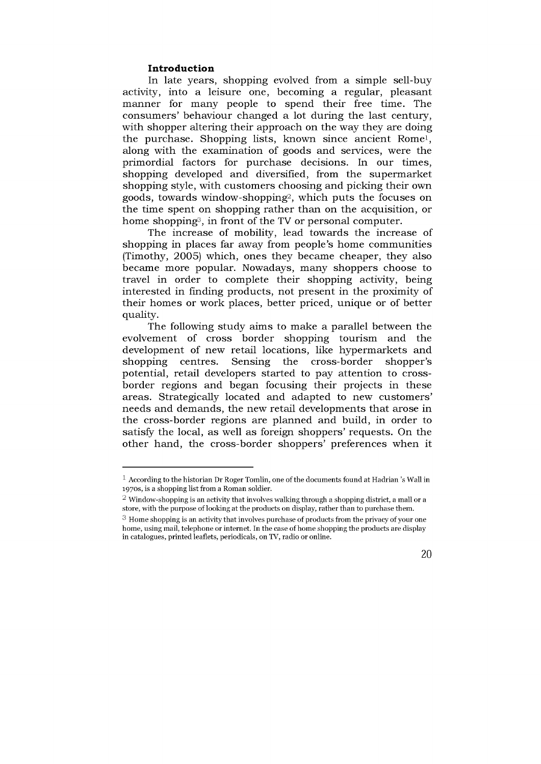#### **Introduction**

In late years, shopping evolved from a simple sell-buy activity, into a leisure one, becoming a regular, pleasant manner for many people to spend their free time. The consumers' behaviour changed a lot during the last century, with shopper altering their approach on the way they are doing the purchase. Shopping lists, known since ancient Rome<sup>1</sup>, along with the examination of goods and services, were the primordial factors for purchase decisions. In our times, shopping developed and diversified, from the supermarket shopping style, with customers choosing and picking their own goods, towards window-shopping<sup>2</sup>, which puts the focuses on the time spent on shopping rather than on the acquisition, or home shopping<sup>3</sup>, in front of the TV or personal computer.

The increase of mobility, lead towards the increase of shopping in places far away from people's home communities (Timothy, 2005) which, ones they became cheaper, they also became more popular. Nowadays, many shoppers choose to travel in order to complete their shopping activity, being interested in finding products, not present in the proximity of their homes or work places, better priced, unique or of better quality.

The following study aims to make a parallel between the evolvement of cross border shopping tourism and the development of new retail locations, like hypermarkets and shopping centres. Sensing the cross-border shopper's potential, retail developers started to pay attention to crossborder regions and began focusing their projects in these areas. Strategically located and adapted to new customers' needs and demands, the new retail developments that arose in the cross-border regions are planned and build, in order to satisfy the local, as well as foreign shoppers' requests. On the other hand, the cross-border shoppers' preferences when it

 $^3$  Home shopping is an activity that involves purchase of products from the privacy of your one home, using mail, telephone or internet. In the case of home shopping the products are display in catalogues, printed leaflets, periodicals, on TV, radio or online.



 $<sup>1</sup>$  According to the historian Dr Roger Tomlin, one of the documents found at Hadrian 's Wall in</sup> 1970s, is a shopping list from a Roman soldier.

<sup>&</sup>lt;sup>2</sup> Window-shopping is an activity that involves walking through a shopping district, a mall or a store, with the purpose of looking at the products on display, rather than to purchase them.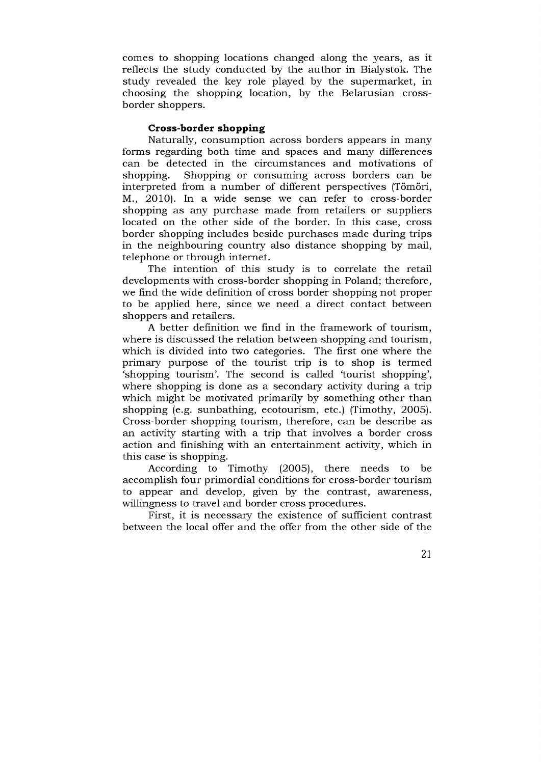com es to shopping locations changed along the years, as it reflects the study conducted by the author in Bialystok. The study revealed the key role played by the supermarket, in choosing the shopping location, by the Belarusian crossborder shoppers.

## **Cross-border shopping**

Naturally, consumption across borders appears in many forms regarding both time and spaces and many differences can be detected in the circumstances and motivations of shopping. Shopping or consuming across borders can be interpreted from a number of different perspectives (Tömöri, M., 2010). In a wide sense we can refer to cross-border shopping as any purchase made from retailers or suppliers located on the other side of the border. In this case, cross border shopping includes beside purchases made during trips in the neighbouring country also distance shopping by mail, telephone or through internet.

The intention of this study is to correlate the retail developments with cross-border shopping in Poland; therefore, we find the wide definition of cross border shopping not proper to be applied here, since we need a direct contact between shoppers and retailers.

A better definition we find in the framework of tourism, where is discussed the relation between shopping and tourism, which is divided into two categories. The first one where the primary purpose of the tourist trip is to shop is termed 'shopping tourism'. The second is called 'tourist shopping', where shopping is done as a secondary activity during a trip which might be motivated primarily by something other than shopping (e.g. sunbathing, ecotourism, etc.) (Timothy, 2005). Cross-border shopping tourism, therefore, can be describe as an activity starting with a trip that involves a border cross action and finishing with an entertainment activity, which in this case is shopping.

According to Timothy  $(2005)$ , there needs to be accomplish four primordial conditions for cross-border tourism to appear and develop, given by the contrast, aw areness, willingness to travel and border cross procedures.

First, it is necessary the existence of sufficient contrast between the local offer and the offer from the other side of the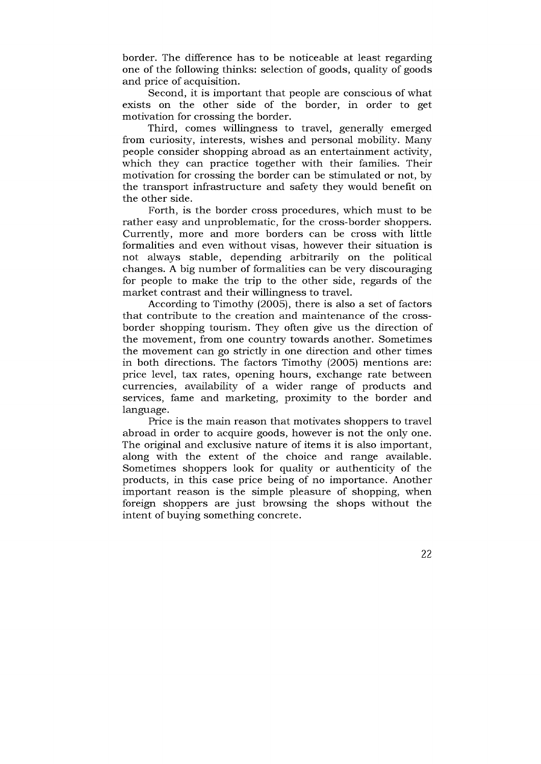border. The difference has to be noticeable at least regarding one of the following thinks: selection of goods, quality of goods and price of acquisition.

Second, it is important that people are conscious of what exists on the other side of the border, in order to get motivation for crossing the border.

Third, comes willingness to travel, generally emerged from curiosity, in terests, w ishes and personal mobility. Many people consider shopping abroad as an entertainment activity, which they can practice together with their families. Their motivation for crossing the border can be stimulated or not, by the transport infrastructure and safety they would benefit on the other side.

Forth, is the border cross procedures, which must to be rather easy and unproblematic, for the cross-border shoppers. Currently, more and more borders can be cross with little formalities and even without visas, however their situation is not always stable, depending arbitrarily on the political changes. A big number of formalities can be very discouraging for people to make the trip to the other side, regards of the market contrast and their willingness to travel.

According to Timothy (2005), there is also a set of factors that contribute to the creation and maintenance of the crossborder shopping tourism. They often give us the direction of the movement, from one country towards another. Sometimes the movement can go strictly in one direction and other times in both directions. The factors Timothy  $(2005)$  mentions are: price level, tax rates, opening hours, exchange rate between currencies, availability of a wider range of products and services, fame and marketing, proximity to the border and language.

Price is the main reason that motivates shoppers to travel abroad in order to acquire goods, however is not the only one. The original and exclusive nature of items it is also important, along with the extent of the choice and range available. Sometimes shoppers look for quality or authenticity of the products, in this case price being of no importance. Another important reason is the simple pleasure of shopping, when foreign shoppers are just browsing the shops without the intent of buying something concrete.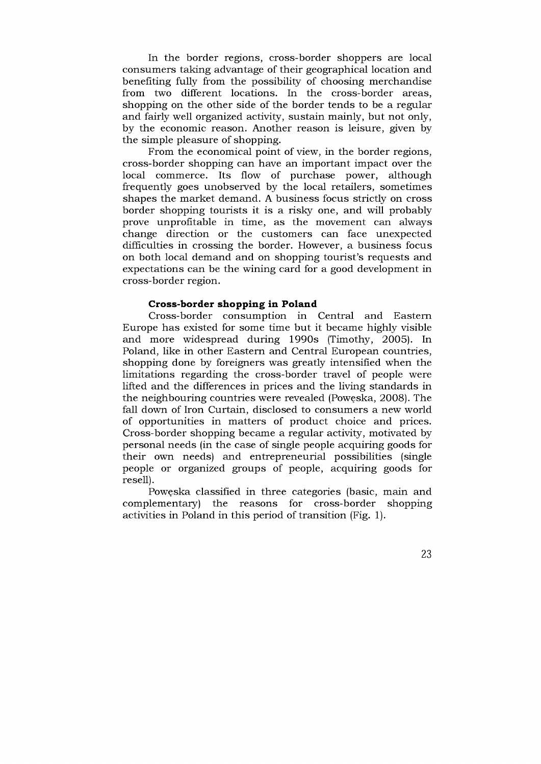In the border regions, cross-border shoppers are local consumers taking advantage of their geographical location and benefiting fully from the possibility of choosing merchandise from two different locations. In the cross-border areas, shopping on the other side of the border tends to be a regular and fairly well organized activity, sustain mainly, but not only, by the economic reason. Another reason is leisure, given by the simple pleasure of shopping.

From the economical point of view, in the border regions, cross-border shopping can have an im portant im pact over the local commerce. Its flow of purchase power, although frequently goes unobserved by the local retailers, sometimes shapes the market demand. A business focus strictly on cross border shopping tourists it is a risky one, and will probably prove unprofitable in time, as the movement can always change direction or the customers can face unexpected difficulties in crossing the border. However, a business focus on both local demand and on shopping tourist's requests and expectations can be the wining card for a good development in cross-border region.

## **Cross-border shopping in Poland**

Cross-border consumption in Central and Eastern Europe has existed for some time but it became highly visible and more widespread during 1990s (Timothy, 2005). In Poland, like in other Eastern and Central European countries, shopping done by foreigners was greatly intensified when the limitations regarding the cross-border travel of people were lifted and the differences in prices and the living standards in the neighbouring countries were revealed (Powęska, 2008). The fall down of Iron Curtain, disclosed to consumers a new world of opportunities in matters of product choice and prices. Cross-border shopping became a regular activity, motivated by personal needs (in the case of single people acquiring goods for their own needs) and entrepreneurial possibilities (single people or organized groups of people, acquiring goods for resell).

Poweska classified in three categories (basic, main and complementary) the reasons for cross-border shopping activities in Poland in this period of transition (Fig. 1).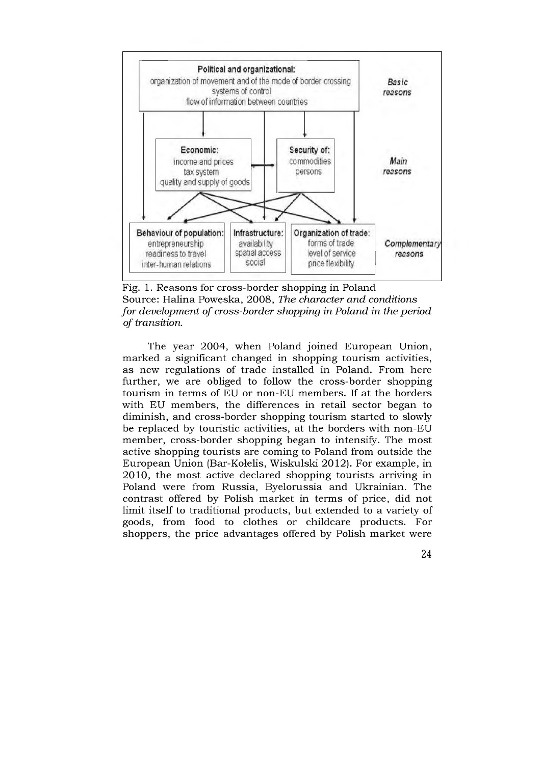

Fig. 1. Reasons for cross-border shopping in Poland Source: Halina Powęska, 2008, *The character and conditions for development of cross-border shopping in Poland in the period*  $of transition.$ 

The year 2004, when Poland joined European Union, m arked a significant changed in shopping tourism activities, as new regulations of trade installed in Poland. From here further, we are obliged to follow the cross-border shopping tourism in terms of EU or non-EU members. If at the borders with EU members, the differences in retail sector began to diminish, and cross-border shopping tourism started to slowly be replaced by touristic activities, at the borders with non-EU member, cross-border shopping began to intensify. The most active shopping tourists are coming to Poland from outside the European Union (Bar-Kołelis, Wiskulski 2012). For example, in 2010, the most active declared shopping tourists arriving in Poland were from Russia, Byelorussia and Ukrainian. The contrast offered by Polish market in terms of price, did not limit itself to traditional products, but extended to a variety of goods, from food to clothes or childcare products. For shoppers, the price advantages offered by Polish market were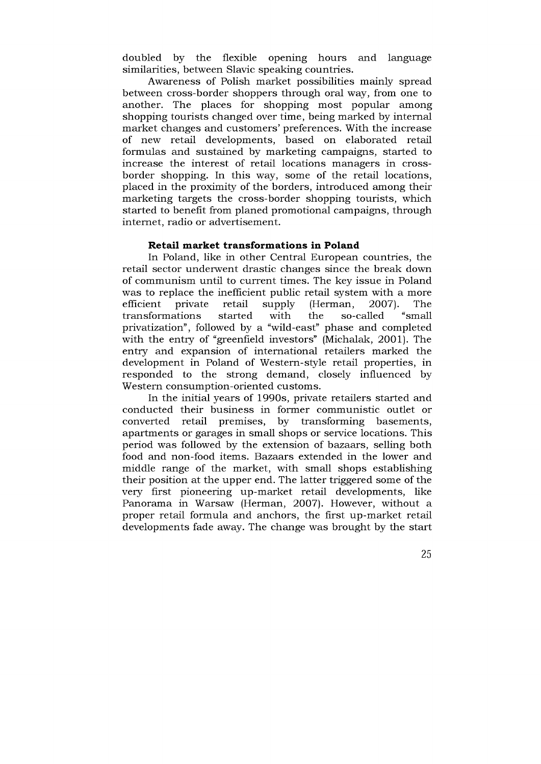doubled by the flexible opening hours and language similarities, between Slavic speaking countries.

Awareness of Polish market possibilities mainly spread between cross-border shoppers through oral way, from one to another. The places for shopping most popular among shopping tourists changed over time, being marked by internal market changes and customers' preferences. With the increase of new retail developments, based on elaborated retail formulas and sustained by marketing campaigns, started to increase the interest of retail locations managers in crossborder shopping. In this way, some of the retail locations, placed in the proximity of the borders, introduced among their marketing targets the cross-border shopping tourists, which started to benefit from planed promotional campaigns, through internet, radio or advertisement.

## **Retail m arket transform ations in Poland**

In Poland, like in other Central European countries, the retail sector underwent drastic changes since the break down of communism until to current times. The key issue in Poland was to replace the inefficient public retail system with a more efficient private retail supply (Herman, 2007). The transformations started with the so-called "small privatization", followed by a "wild-east" phase and completed with the entry of "greenfield investors" (Michalak, 2001). The entry and expansion of international retailers marked the development in Poland of Western-style retail properties, in responded to the strong dem and, closely influenced by Western consumption-oriented customs.

In the initial years of 1990s, private retailers started and conducted their business in former communistic outlet or converted retail premises, by transforming basements, apartments or garages in small shops or service locations. This period was followed by the extension of bazaars, selling both food and non-food items. Bazaars extended in the lower and middle range of the market, with small shops establishing their position at the upper end. The latter triggered some of the very first pioneering up-market retail developments, like Panorama in Warsaw (Herman, 2007). However, without a proper retail formula and anchors, the first up-market retail developments fade away. The change was brought by the start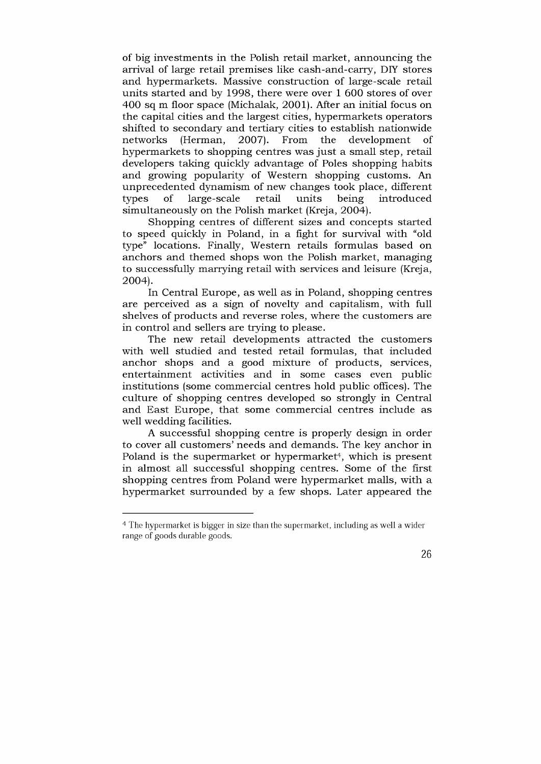of big investments in the Polish retail market, announcing the arrival of large retail prem ises like cash-and-carry, DIY stores and hypermarkets. Massive construction of large-scale retail units started and by 1998, there were over 1 600 stores of over 400 sq m floor space (Michalak, 2001). After an initial focus on the capital cities and the largest cities, hypermarkets operators shifted to secondary and tertiary cities to establish nationwide networks (Herman, 2007). From the development of hypermarkets to shopping centres was just a small step, retail developers taking quickly advantage of Poles shopping habits and growing popularity of Western shopping customs. An unprecedented dynamism of new changes took place, different types of large-scale retail units being introduced simultaneously on the Polish market (Kreja, 2004).

Shopping centres of different sizes and concepts started to speed quickly in Poland, in a fight for survival with "old type" locations. Finally, Western retails formulas based on anchors and themed shops won the Polish market, managing to successfully marrying retail with services and leisure (Kreja, 2004).

In Central Europe, as well as in Poland, shopping centres are perceived as a sign of novelty and capitalism, with full shelves of products and reverse roles, where the customers are in control and sellers are trying to please.

The new retail developments attracted the customers with well studied and tested retail formulas, that included anchor shops and a good mixture of products, services, entertainment activities and in some cases even public institutions (some commercial centres hold public offices). The culture of shopping centres developed so strongly in Central and East Europe, that some commercial centres include as well wedding facilities.

A successful shopping centre is properly design in order to cover all customers' needs and demands. The key anchor in Poland is the supermarket or hypermarket<sup>4</sup>, which is present in alm ost all successful shopping centres. Some of the first shopping centres from Poland were hypermarket malls, with a hypermarket surrounded by a few shops. Later appeared the

<sup>4</sup> The hypermarket is bigger in size than the supermarket, including as well a wider range of goods durable goods.

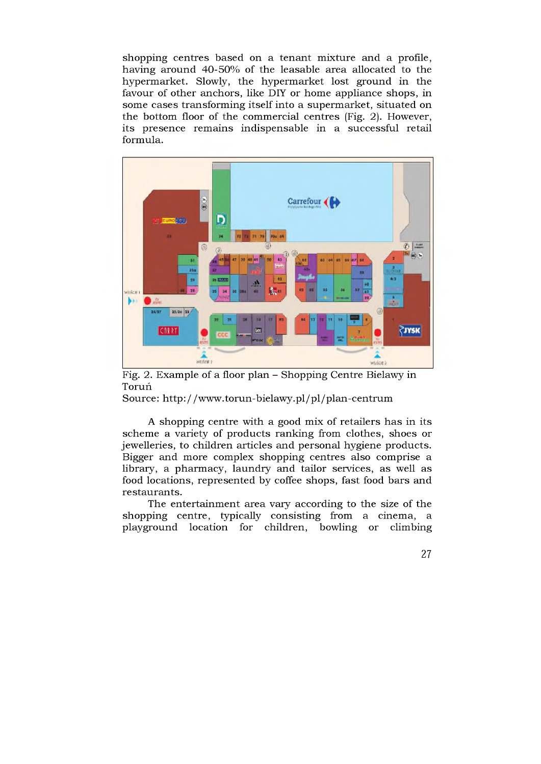shopping centres based on a tenant mixture and a profile, having around 40-50% of the leasable area allocated to the hypermarket. Slowly, the hypermarket lost ground in the favour of other anchors, like DIY or home appliance shops, in some cases transforming itself into a supermarket, situated on the bottom floor of the commercial centres (Fig. 2). However, its presence rem ains indispensable in a successful retail formula.



Fig. 2. Example of a floor plan - Shopping Centre Bielawy in Toruń

Source: http://www.torun-bielawy.pl/pl/plan-centrum

A shopping centre with a good mix of retailers has in its scheme a variety of products ranking from clothes, shoes or jew elleries, to children articles and personal hygiene products. Bigger and more complex shopping centres also comprise a library, a pharmacy, laundry and tailor services, as well as food locations, represented by coffee shops, fast food bars and re staurants.

The entertainment area vary according to the size of the shopping centre, typically consisting from a cinema, a playground location for children, bowling or climbing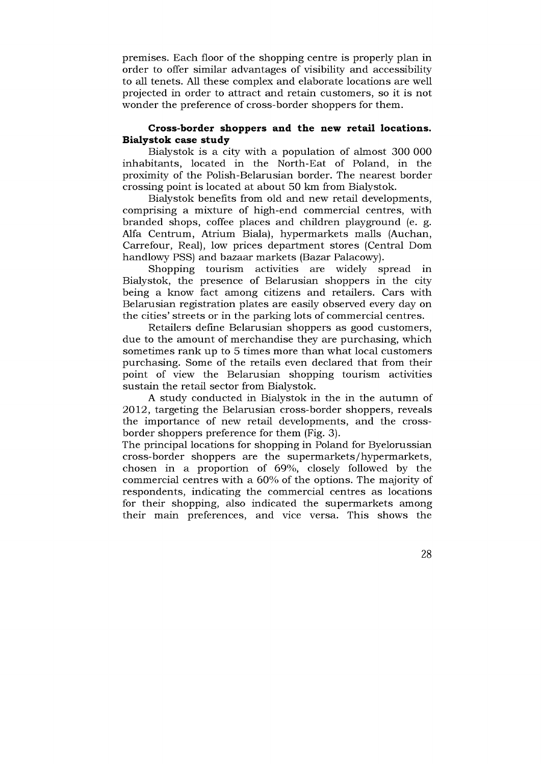premises. Each floor of the shopping centre is properly plan in order to offer similar advantages of visibility and accessibility to all tenets. All these complex and elaborate locations are well projected in order to attract and retain customers, so it is not wonder the preference of cross-border shoppers for them.

## **Cross-border shoppers and the new retail locations. B iałystok case study**

Bialystok is a city with a population of almost 300 000 inhabitants, located in the North-Eat of Poland, in the proximity of the Polish-Belarusian border. The nearest border crossing point is located at about 50 km from Bialystok.

Bialystok benefits from old and new retail developments, comprising a mixture of high-end commercial centres, with branded shops, coffee places and children playground (e. g. Alfa Centrum, Atrium Biala), hypermarkets malls (Auchan, Carrefour, Real), low prices department stores (Central Dom handlowy PSS) and bazaar markets (Bazar Palacowy).

Shopping tourism activities are widely spread in Bialystok, the presence of Belarusian shoppers in the city being a know fact among citizens and retailers. Cars with Belarusian registration plates are easily observed every day on the cities' streets or in the parking lots of commercial centres.

Retailers define Belarusian shoppers as good customers, due to the amount of merchandise they are purchasing, which sometimes rank up to 5 times more than what local customers purchasing. Some of the retails even declared that from their point of view the Belarusian shopping tourism activities sustain the retail sector from Bialystok.

A study conducted in Bialystok in the in the autumn of 2012, targeting the Belarusian cross-border shoppers, reveals the importance of new retail developments, and the crossborder shoppers preference for them (Fig. 3).

The principal locations for shopping in Poland for Byelorussian cross-border shoppers are the supermarkets/hypermarkets, chosen in a proportion of 69%, closely followed by the commercial centres with a 60% of the options. The majority of respondents, indicating the commercial centres as locations for their shopping, also indicated the supermarkets among their main preferences, and vice versa. This shows the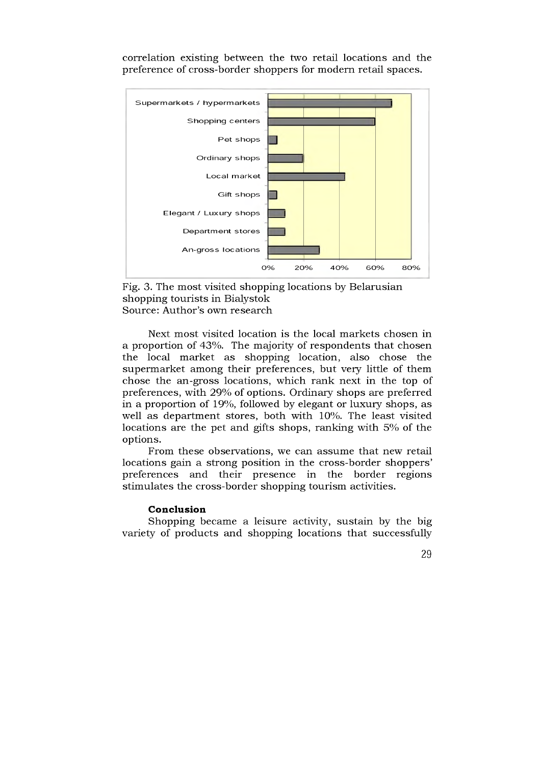correlation existing between the two retail locations and the preference of cross-border shoppers for modern retail spaces.





Next most visited location is the local markets chosen in a proportion of 43%. The majority of respondents that chosen the local m arket as shopping location, also chose the supermarket among their preferences, but very little of them chose the an-gross locations, which rank next in the top of preferences, with 29% of options. Ordinary shops are preferred in a proportion of 19%, followed by elegant or luxury shops, as well as department stores, both with 10%. The least visited locations are the pet and gifts shops, ranking with 5% of the options.

From these observations, we can assume that new retail locations gain a strong position in the cross-border shoppers' preferences and their presence in the border regions stimulates the cross-border shopping tourism activities.

#### **Conclusion**

Shopping became a leisure activity, sustain by the big variety of products and shopping locations that successfully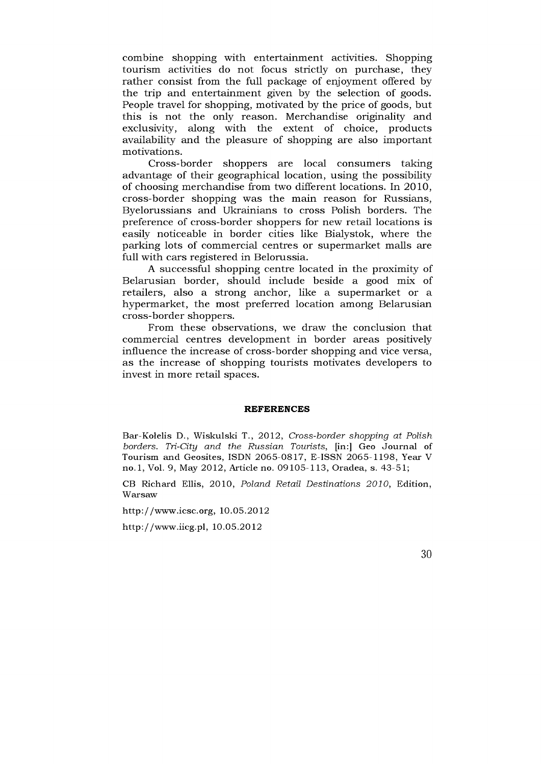combine shopping with entertainment activities. Shopping tourism activities do not focus strictly on purchase, they rather consist from the full package of enjoyment offered by the trip and entertainment given by the selection of goods. People travel for shopping, motivated by the price of goods, but this is not the only reason. Merchandise originality and exclusivity, along with the extent of choice, products availability and the pleasure of shopping are also important motivations.

Cross-border shoppers are local consumers taking advantage of their geographical location, using the possibility of choosing merchandise from two different locations. In 2010, cross-border shopping was the main reason for Russians, Byelorussians and Ukrainians to cross Polish borders. The preference of cross-border shoppers for new retail locations is easily noticeable in border cities like Bialystok, where the parking lots of commercial centres or supermarket malls are full with cars registered in Belorussia.

A successful shopping centre located in the proximity of Belarusian border, should include beside a good mix of retailers, also a strong anchor, like a supermarket or a hypermarket, the most preferred location among Belarusian cross-border shoppers.

From these observations, we draw the conclusion that commercial centres development in border areas positively influence the increase of cross-border shopping and vice versa, as the increase of shopping tourists motivates developers to invest in more retail spaces.

#### **REFERENCES**

Bar-Kołelis D., Wiskulski T., 2012, *Cross-border shopping at Polish borders. Tri-City and the Russian Tourists, [in:] Geo Journal of* Tourism and Geosites, ISDN 2065-0817, E-ISSN 2065-1198, Year V no.1, Vol. 9, May 2012, Article no. 09105-113, Oradea, s. 43-51;

CB Richard Ellis, 2010, *Poland Retail Destinations 2010*, Edition, **Warsaw** 

http://www.icsc.org, 10.05.2012

http://www.iicg.pl, 10.05.2012